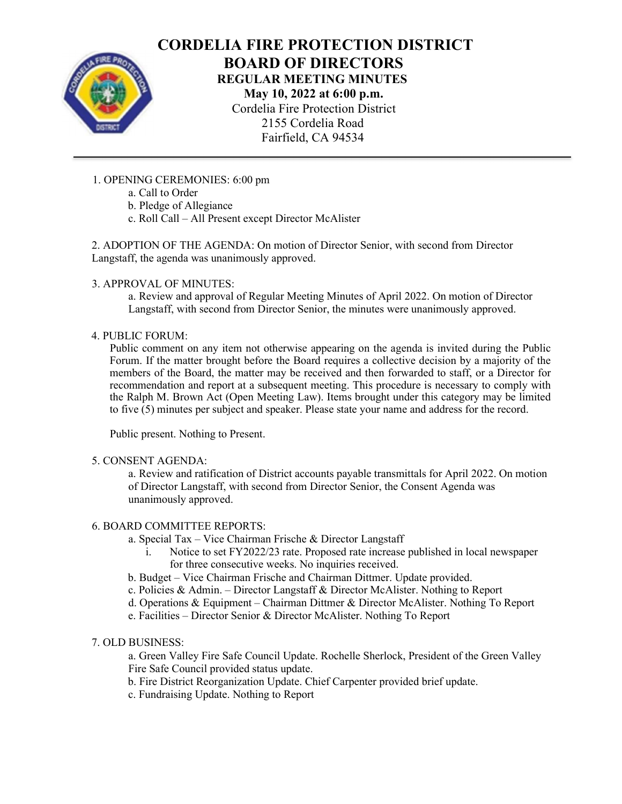

# CORDELIA FIRE PROTECTION DISTRICT BOARD OF DIRECTORS REGULAR MEETING MINUTES May 10, 2022 at 6:00 p.m.

Cordelia Fire Protection District 2155 Cordelia Road Fairfield, CA 94534

## 1. OPENING CEREMONIES: 6:00 pm

- a. Call to Order
- b. Pledge of Allegiance
- c. Roll Call All Present except Director McAlister

2. ADOPTION OF THE AGENDA: On motion of Director Senior, with second from Director Langstaff, the agenda was unanimously approved.

#### 3. APPROVAL OF MINUTES:

a. Review and approval of Regular Meeting Minutes of April 2022. On motion of Director Langstaff, with second from Director Senior, the minutes were unanimously approved.

#### 4. PUBLIC FORUM:

Public comment on any item not otherwise appearing on the agenda is invited during the Public Forum. If the matter brought before the Board requires a collective decision by a majority of the members of the Board, the matter may be received and then forwarded to staff, or a Director for recommendation and report at a subsequent meeting. This procedure is necessary to comply with the Ralph M. Brown Act (Open Meeting Law). Items brought under this category may be limited to five (5) minutes per subject and speaker. Please state your name and address for the record.

Public present. Nothing to Present.

#### 5. CONSENT AGENDA:

a. Review and ratification of District accounts payable transmittals for April 2022. On motion of Director Langstaff, with second from Director Senior, the Consent Agenda was unanimously approved.

#### 6. BOARD COMMITTEE REPORTS:

- a. Special Tax Vice Chairman Frische & Director Langstaff
	- i. Notice to set FY2022/23 rate. Proposed rate increase published in local newspaper for three consecutive weeks. No inquiries received.
- b. Budget Vice Chairman Frische and Chairman Dittmer. Update provided.
- c. Policies & Admin. Director Langstaff & Director McAlister. Nothing to Report
- d. Operations & Equipment Chairman Dittmer & Director McAlister. Nothing To Report
- e. Facilities Director Senior & Director McAlister. Nothing To Report

#### 7. OLD BUSINESS:

a. Green Valley Fire Safe Council Update. Rochelle Sherlock, President of the Green Valley Fire Safe Council provided status update.

- b. Fire District Reorganization Update. Chief Carpenter provided brief update.
- c. Fundraising Update. Nothing to Report